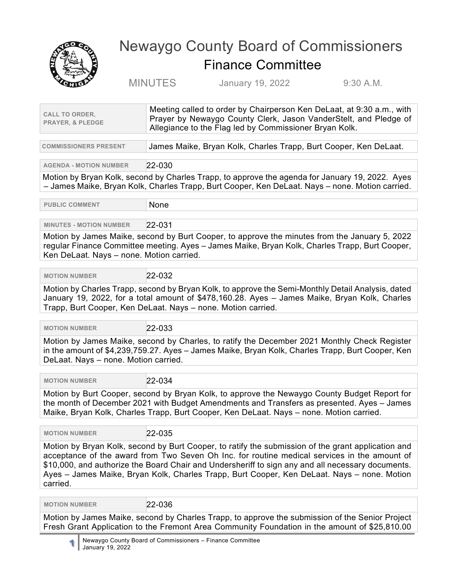

## Newaygo County Board of Commissioners Finance Committee

MINUTES January 19, 2022 9:30 A.M.

| <b>CALL TO ORDER,</b><br><b>PRAYER, &amp; PLEDGE</b>                                                                                                                                                                                                                                                                                                                                                               | Meeting called to order by Chairperson Ken DeLaat, at 9:30 a.m., with<br>Prayer by Newaygo County Clerk, Jason VanderStelt, and Pledge of<br>Allegiance to the Flag led by Commissioner Bryan Kolk. |  |
|--------------------------------------------------------------------------------------------------------------------------------------------------------------------------------------------------------------------------------------------------------------------------------------------------------------------------------------------------------------------------------------------------------------------|-----------------------------------------------------------------------------------------------------------------------------------------------------------------------------------------------------|--|
| <b>COMMISSIONERS PRESENT</b>                                                                                                                                                                                                                                                                                                                                                                                       | James Maike, Bryan Kolk, Charles Trapp, Burt Cooper, Ken DeLaat.                                                                                                                                    |  |
| <b>AGENDA - MOTION NUMBER</b>                                                                                                                                                                                                                                                                                                                                                                                      | 22-030                                                                                                                                                                                              |  |
|                                                                                                                                                                                                                                                                                                                                                                                                                    | Motion by Bryan Kolk, second by Charles Trapp, to approve the agenda for January 19, 2022. Ayes<br>- James Maike, Bryan Kolk, Charles Trapp, Burt Cooper, Ken DeLaat. Nays - none. Motion carried.  |  |
| <b>PUBLIC COMMENT</b>                                                                                                                                                                                                                                                                                                                                                                                              | None                                                                                                                                                                                                |  |
| <b>MINUTES - MOTION NUMBER</b>                                                                                                                                                                                                                                                                                                                                                                                     | 22-031                                                                                                                                                                                              |  |
| Motion by James Maike, second by Burt Cooper, to approve the minutes from the January 5, 2022<br>regular Finance Committee meeting. Ayes - James Maike, Bryan Kolk, Charles Trapp, Burt Cooper,<br>Ken DeLaat. Nays - none. Motion carried.                                                                                                                                                                        |                                                                                                                                                                                                     |  |
| <b>MOTION NUMBER</b>                                                                                                                                                                                                                                                                                                                                                                                               | 22-032                                                                                                                                                                                              |  |
| Motion by Charles Trapp, second by Bryan Kolk, to approve the Semi-Monthly Detail Analysis, dated<br>January 19, 2022, for a total amount of \$478,160.28. Ayes - James Maike, Bryan Kolk, Charles<br>Trapp, Burt Cooper, Ken DeLaat. Nays - none. Motion carried.                                                                                                                                                 |                                                                                                                                                                                                     |  |
| <b>MOTION NUMBER</b>                                                                                                                                                                                                                                                                                                                                                                                               | 22-033                                                                                                                                                                                              |  |
| Motion by James Maike, second by Charles, to ratify the December 2021 Monthly Check Register<br>in the amount of \$4,239,759.27. Ayes - James Maike, Bryan Kolk, Charles Trapp, Burt Cooper, Ken<br>DeLaat. Nays - none. Motion carried.                                                                                                                                                                           |                                                                                                                                                                                                     |  |
|                                                                                                                                                                                                                                                                                                                                                                                                                    |                                                                                                                                                                                                     |  |
| 22-034<br><b>MOTION NUMBER</b><br>Motion by Burt Cooper, second by Bryan Kolk, to approve the Newaygo County Budget Report for<br>the month of December 2021 with Budget Amendments and Transfers as presented. Ayes - James<br>Maike, Bryan Kolk, Charles Trapp, Burt Cooper, Ken DeLaat. Nays - none. Motion carried.                                                                                            |                                                                                                                                                                                                     |  |
| <b>MOTION NUMBER</b>                                                                                                                                                                                                                                                                                                                                                                                               | 22-035                                                                                                                                                                                              |  |
| Motion by Bryan Kolk, second by Burt Cooper, to ratify the submission of the grant application and<br>acceptance of the award from Two Seven Oh Inc. for routine medical services in the amount of<br>\$10,000, and authorize the Board Chair and Undersheriff to sign any and all necessary documents.<br>Ayes - James Maike, Bryan Kolk, Charles Trapp, Burt Cooper, Ken DeLaat. Nays - none. Motion<br>carried. |                                                                                                                                                                                                     |  |
| <b>MOTION NUMBER</b>                                                                                                                                                                                                                                                                                                                                                                                               | 22-036                                                                                                                                                                                              |  |
|                                                                                                                                                                                                                                                                                                                                                                                                                    |                                                                                                                                                                                                     |  |

 $\bm{\kappa}$  Maike, second by Charles Trapp, to approve the submission of the Senior Proje Fresh Grant Application to the Fremont Area Community Foundation in the amount of \$25,810.00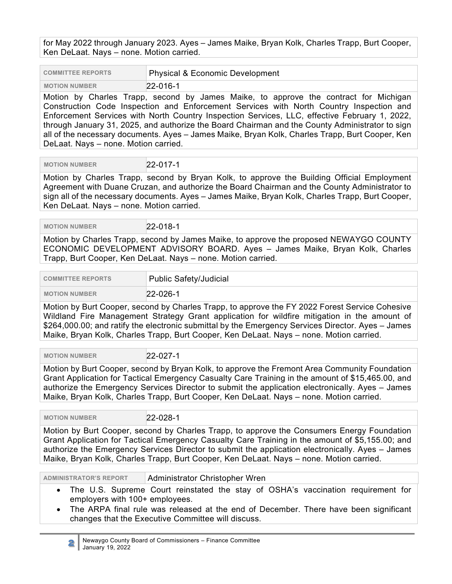for May 2022 through January 2023. Ayes – James Maike, Bryan Kolk, Charles Trapp, Burt Cooper, Ken DeLaat. Nays – none. Motion carried.

| <b>COMMITTEE REPORTS</b> | Physical & Economic Development |
|--------------------------|---------------------------------|
| <b>MOTION NUMBER</b>     | $22 - 016 - 1$                  |

Motion by Charles Trapp, second by James Maike, to approve the contract for Michigan Construction Code Inspection and Enforcement Services with North Country Inspection and Enforcement Services with North Country Inspection Services, LLC, effective February 1, 2022, through January 31, 2025, and authorize the Board Chairman and the County Administrator to sign all of the necessary documents. Ayes – James Maike, Bryan Kolk, Charles Trapp, Burt Cooper, Ken DeLaat. Nays – none. Motion carried.

 **MOTION NUMBER** 22-017-1

Motion by Charles Trapp, second by Bryan Kolk, to approve the Building Official Employment Agreement with Duane Cruzan, and authorize the Board Chairman and the County Administrator to sign all of the necessary documents. Ayes – James Maike, Bryan Kolk, Charles Trapp, Burt Cooper, Ken DeLaat. Nays – none. Motion carried.

 **MOTION NUMBER** 22-018-1

Motion by Charles Trapp, second by James Maike, to approve the proposed NEWAYGO COUNTY ECONOMIC DEVELOPMENT ADVISORY BOARD. Ayes – James Maike, Bryan Kolk, Charles Trapp, Burt Cooper, Ken DeLaat. Nays – none. Motion carried.

| <b>COMMITTEE REPORTS</b>                                                                       | <b>Public Safety/Judicial</b> |
|------------------------------------------------------------------------------------------------|-------------------------------|
| <b>MOTION NUMBER</b>                                                                           | $22 - 026 - 1$                |
| Motion by Burt Cooper, second by Charles Trapp, to approve the FY 2022 Forest Service Cohesive |                               |

Wildland Fire Management Strategy Grant application for wildfire mitigation in the amount of \$264,000.00; and ratify the electronic submittal by the Emergency Services Director. Ayes – James Maike, Bryan Kolk, Charles Trapp, Burt Cooper, Ken DeLaat. Nays – none. Motion carried.

 **MOTION NUMBER** 22-027-1

Motion by Burt Cooper, second by Bryan Kolk, to approve the Fremont Area Community Foundation Grant Application for Tactical Emergency Casualty Care Training in the amount of \$15,465.00, and authorize the Emergency Services Director to submit the application electronically. Ayes – James Maike, Bryan Kolk, Charles Trapp, Burt Cooper, Ken DeLaat. Nays – none. Motion carried.

 **MOTION NUMBER** 22-028-1

Motion by Burt Cooper, second by Charles Trapp, to approve the Consumers Energy Foundation Grant Application for Tactical Emergency Casualty Care Training in the amount of \$5,155.00; and authorize the Emergency Services Director to submit the application electronically. Ayes – James Maike, Bryan Kolk, Charles Trapp, Burt Cooper, Ken DeLaat. Nays – none. Motion carried.

**ADMINISTRATOR'S REPORT** Administrator Christopher Wren

- The U.S. Supreme Court reinstated the stay of OSHA's vaccination requirement for employers with 100+ employees.
- The ARPA final rule was released at the end of December. There have been significant changes that the Executive Committee will discuss.